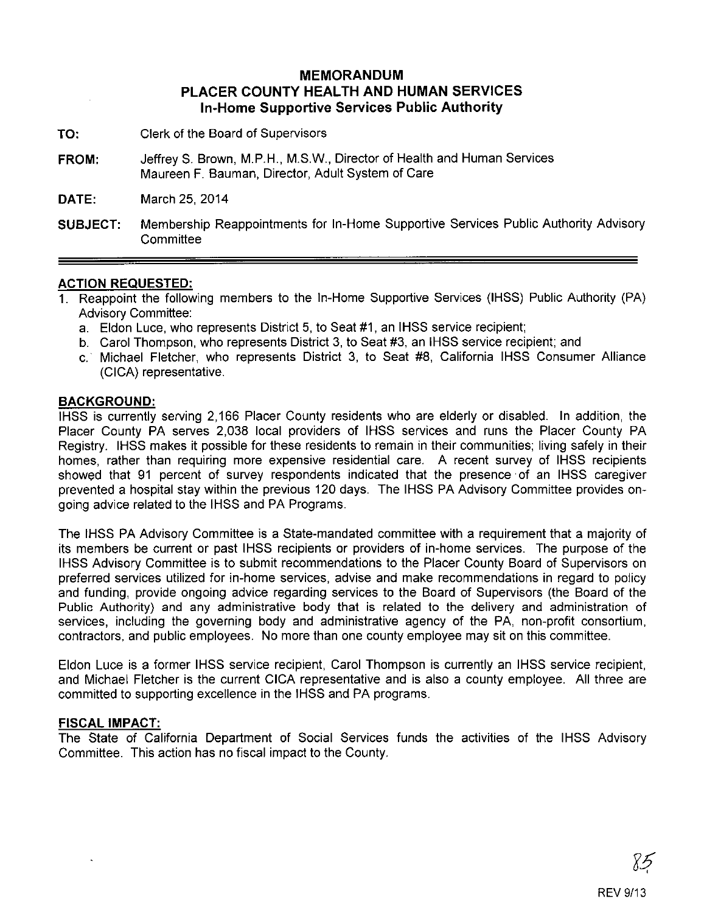## **MEMORANDUM PLACER COUNTY HEALTH AND HUMAN SERVICES In-Home Supportive Services Public Authority**

- **TO:** Clerk of the Board of Supervisors
- **FROM:** JeffreyS. Brown, M.P.H., M.S.W., Director of Health and Human Services Maureen F. Bauman, Director, Adult System of Care

**DATE:** March 25, 2014

**SUBJECT:** Membership Reappointments for In-Home Supportive Services Public Authority Advisory **Committee** 

## **ACTION REQUESTED:**

- 1. Reappoint the following members to the In-Home Supportive Services (IHSS) Public Authority (PA) Advisory Committee:
	- a. Eldon Luce, who represents District 5, to Seat #1, an IHSS service recipient;
	- b. Carol Thompson, who represents District 3, to Seat #3, an IHSS service recipient; and
	- c.· Michael Fletcher, who represents District 3, to Seat #8, California IHSS Consumer Alliance (CICA) representative.

## **BACKGROUND:**

IHSS is currently serving 2,166 Placer County residents who are elderly or disabled. In addition, the Placer County PA serves 2,038 local providers of IHSS services and runs the Placer County PA Registry. IHSS makes it possible for these residents to remain in their communities; living safely in their homes, rather than requiring more expensive residential care. A recent survey of IHSS recipients showed that 91 percent of survey respondents indicated that the presence· of an IHSS caregiver prevented a hospital stay within the previous 120 days. The IHSS PA Advisory Committee provides ongoing advice related to the IHSS and PA Programs.

The IHSS PA Advisory Committee is a State-mandated committee with a requirement that a majority of its members be current or past IHSS recipients or providers of in-home services. The purpose of the IHSS Advisory Committee is to submit recommendations to the Placer County Board of Supervisors on preferred services utilized for in-home services, advise and make recommendations in regard to policy and funding, provide ongoing advice regarding services to the Board of Supervisors (the Board of the Public Authority) and any administrative body that is related to the delivery and administration of services, including the governing body and administrative agency of the PA, non-profit consortium, contractors, and public employees. No more than one county employee may sit on this committee.

Eldon Luce is a former IHSS service recipient, Carol Thompson is currently an IHSS service recipient, and Michael Fletcher is the current CICA representative and is also a county employee. All three are committed to supporting excellence in the IHSS and PA programs.

## **FISCAL IMPACT:**

The State of California Department of Social Services funds the activities of the IHSS Advisory Committee. This action has no fiscal impact to the County.